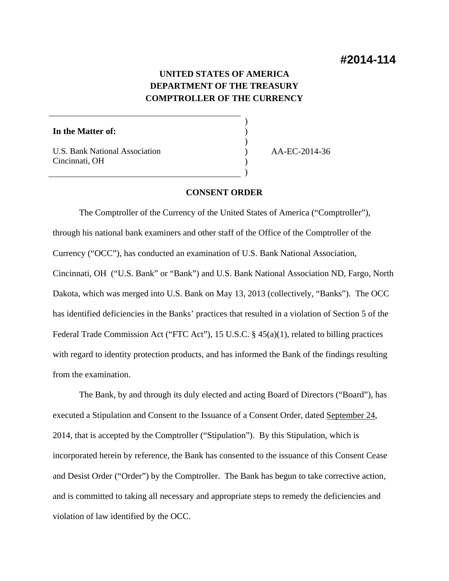# **UNITED STATES OF AMERICA DEPARTMENT OF THE TREASURY COMPTROLLER OF THE CURRENCY**

) ) ) ) ) )

**In the Matter of:** 

U.S. Bank National Association Cincinnati, OH

AA-EC-2014-36

### **CONSENT ORDER**

The Comptroller of the Currency of the United States of America ("Comptroller"), through his national bank examiners and other staff of the Office of the Comptroller of the Currency ("OCC"), has conducted an examination of U.S. Bank National Association, Cincinnati, OH ("U.S. Bank" or "Bank") and U.S. Bank National Association ND, Fargo, North Dakota, which was merged into U.S. Bank on May 13, 2013 (collectively, "Banks"). The OCC has identified deficiencies in the Banks' practices that resulted in a violation of Section 5 of the Federal Trade Commission Act ("FTC Act"), 15 U.S.C. § 45(a)(1), related to billing practices with regard to identity protection products, and has informed the Bank of the findings resulting from the examination.

The Bank, by and through its duly elected and acting Board of Directors ("Board"), has executed a Stipulation and Consent to the Issuance of a Consent Order, dated September 24, 2014, that is accepted by the Comptroller ("Stipulation"). By this Stipulation, which is incorporated herein by reference, the Bank has consented to the issuance of this Consent Cease and Desist Order ("Order") by the Comptroller. The Bank has begun to take corrective action, and is committed to taking all necessary and appropriate steps to remedy the deficiencies and violation of law identified by the OCC.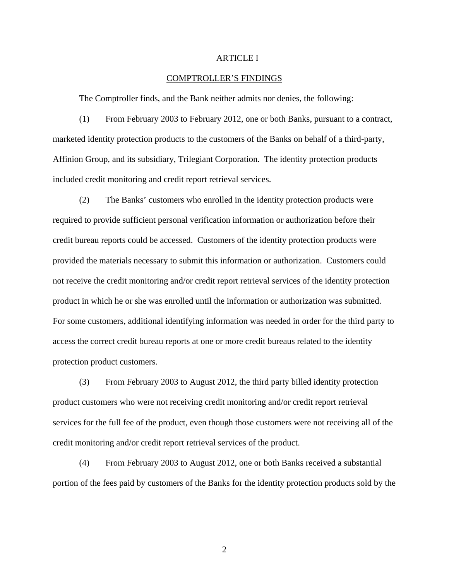### ARTICLE I

### COMPTROLLER'S FINDINGS

The Comptroller finds, and the Bank neither admits nor denies, the following:

(1) From February 2003 to February 2012, one or both Banks, pursuant to a contract, marketed identity protection products to the customers of the Banks on behalf of a third-party, Affinion Group, and its subsidiary, Trilegiant Corporation. The identity protection products included credit monitoring and credit report retrieval services.

(2) The Banks' customers who enrolled in the identity protection products were required to provide sufficient personal verification information or authorization before their credit bureau reports could be accessed. Customers of the identity protection products were provided the materials necessary to submit this information or authorization. Customers could not receive the credit monitoring and/or credit report retrieval services of the identity protection product in which he or she was enrolled until the information or authorization was submitted. For some customers, additional identifying information was needed in order for the third party to access the correct credit bureau reports at one or more credit bureaus related to the identity protection product customers.

(3) From February 2003 to August 2012, the third party billed identity protection product customers who were not receiving credit monitoring and/or credit report retrieval services for the full fee of the product, even though those customers were not receiving all of the credit monitoring and/or credit report retrieval services of the product.

(4) From February 2003 to August 2012, one or both Banks received a substantial portion of the fees paid by customers of the Banks for the identity protection products sold by the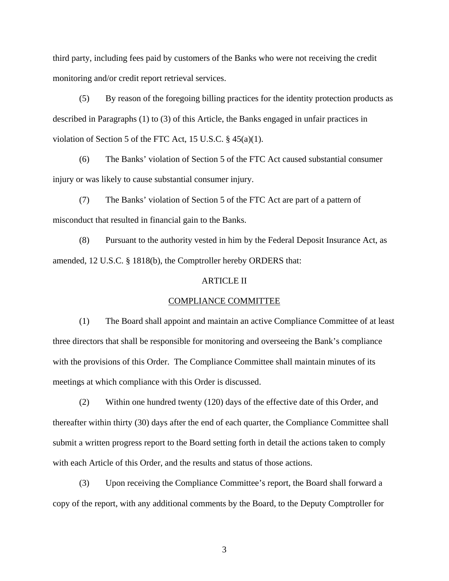third party, including fees paid by customers of the Banks who were not receiving the credit monitoring and/or credit report retrieval services.

(5) By reason of the foregoing billing practices for the identity protection products as described in Paragraphs (1) to (3) of this Article, the Banks engaged in unfair practices in violation of Section 5 of the FTC Act, 15 U.S.C. § 45(a)(1).

(6) The Banks' violation of Section 5 of the FTC Act caused substantial consumer injury or was likely to cause substantial consumer injury.

(7) The Banks' violation of Section 5 of the FTC Act are part of a pattern of misconduct that resulted in financial gain to the Banks.

(8) Pursuant to the authority vested in him by the Federal Deposit Insurance Act, as amended, 12 U.S.C. § 1818(b), the Comptroller hereby ORDERS that:

# ARTICLE II

#### COMPLIANCE COMMITTEE

(1) The Board shall appoint and maintain an active Compliance Committee of at least three directors that shall be responsible for monitoring and overseeing the Bank's compliance with the provisions of this Order. The Compliance Committee shall maintain minutes of its meetings at which compliance with this Order is discussed.

(2) Within one hundred twenty (120) days of the effective date of this Order, and thereafter within thirty (30) days after the end of each quarter, the Compliance Committee shall submit a written progress report to the Board setting forth in detail the actions taken to comply with each Article of this Order, and the results and status of those actions.

(3) Upon receiving the Compliance Committee's report, the Board shall forward a copy of the report, with any additional comments by the Board, to the Deputy Comptroller for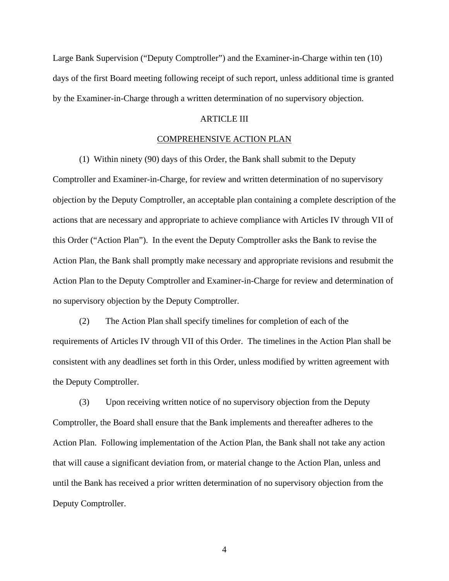Large Bank Supervision ("Deputy Comptroller") and the Examiner-in-Charge within ten (10) days of the first Board meeting following receipt of such report, unless additional time is granted by the Examiner-in-Charge through a written determination of no supervisory objection.

# ARTICLE III

## COMPREHENSIVE ACTION PLAN

(1) Within ninety (90) days of this Order, the Bank shall submit to the Deputy

Comptroller and Examiner-in-Charge, for review and written determination of no supervisory objection by the Deputy Comptroller, an acceptable plan containing a complete description of the actions that are necessary and appropriate to achieve compliance with Articles IV through VII of this Order ("Action Plan"). In the event the Deputy Comptroller asks the Bank to revise the Action Plan, the Bank shall promptly make necessary and appropriate revisions and resubmit the Action Plan to the Deputy Comptroller and Examiner-in-Charge for review and determination of no supervisory objection by the Deputy Comptroller.

(2) The Action Plan shall specify timelines for completion of each of the requirements of Articles IV through VII of this Order. The timelines in the Action Plan shall be consistent with any deadlines set forth in this Order, unless modified by written agreement with the Deputy Comptroller.

(3) Upon receiving written notice of no supervisory objection from the Deputy Comptroller, the Board shall ensure that the Bank implements and thereafter adheres to the Action Plan. Following implementation of the Action Plan, the Bank shall not take any action that will cause a significant deviation from, or material change to the Action Plan, unless and until the Bank has received a prior written determination of no supervisory objection from the Deputy Comptroller.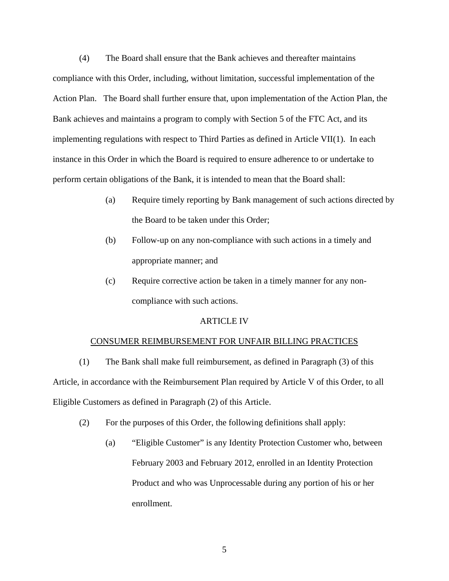(4) The Board shall ensure that the Bank achieves and thereafter maintains compliance with this Order, including, without limitation, successful implementation of the Action Plan. The Board shall further ensure that, upon implementation of the Action Plan, the Bank achieves and maintains a program to comply with Section 5 of the FTC Act, and its implementing regulations with respect to Third Parties as defined in Article VII(1). In each instance in this Order in which the Board is required to ensure adherence to or undertake to perform certain obligations of the Bank, it is intended to mean that the Board shall:

- (a) Require timely reporting by Bank management of such actions directed by the Board to be taken under this Order;
- (b) Follow-up on any non-compliance with such actions in a timely and appropriate manner; and
- (c) Require corrective action be taken in a timely manner for any noncompliance with such actions.

### ARTICLE IV

# CONSUMER REIMBURSEMENT FOR UNFAIR BILLING PRACTICES

(1) The Bank shall make full reimbursement, as defined in Paragraph (3) of this Article, in accordance with the Reimbursement Plan required by Article V of this Order, to all Eligible Customers as defined in Paragraph (2) of this Article.

- (2) For the purposes of this Order, the following definitions shall apply:
	- (a) "Eligible Customer" is any Identity Protection Customer who, between February 2003 and February 2012, enrolled in an Identity Protection Product and who was Unprocessable during any portion of his or her enrollment.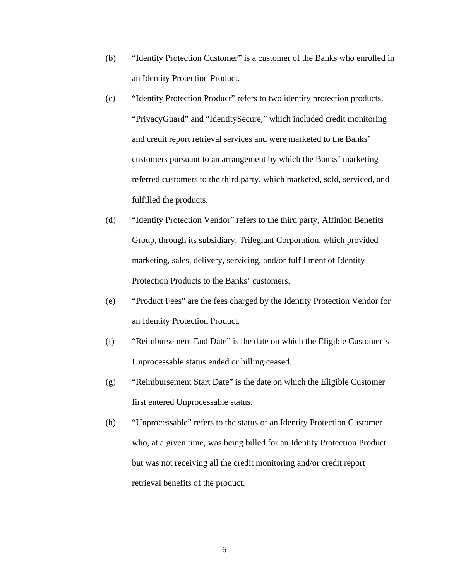- (b) "Identity Protection Customer" is a customer of the Banks who enrolled in an Identity Protection Product.
- (c) "Identity Protection Product" refers to two identity protection products, "PrivacyGuard" and "IdentitySecure," which included credit monitoring and credit report retrieval services and were marketed to the Banks' customers pursuant to an arrangement by which the Banks' marketing referred customers to the third party, which marketed, sold, serviced, and fulfilled the products.
- (d) "Identity Protection Vendor" refers to the third party, Affinion Benefits Group, through its subsidiary, Trilegiant Corporation, which provided marketing, sales, delivery, servicing, and/or fulfillment of Identity Protection Products to the Banks' customers.
- (e) "Product Fees" are the fees charged by the Identity Protection Vendor for an Identity Protection Product.
- (f) "Reimbursement End Date" is the date on which the Eligible Customer's Unprocessable status ended or billing ceased.
- (g) "Reimbursement Start Date" is the date on which the Eligible Customer first entered Unprocessable status.
- (h) "Unprocessable" refers to the status of an Identity Protection Customer who, at a given time, was being billed for an Identity Protection Product but was not receiving all the credit monitoring and/or credit report retrieval benefits of the product.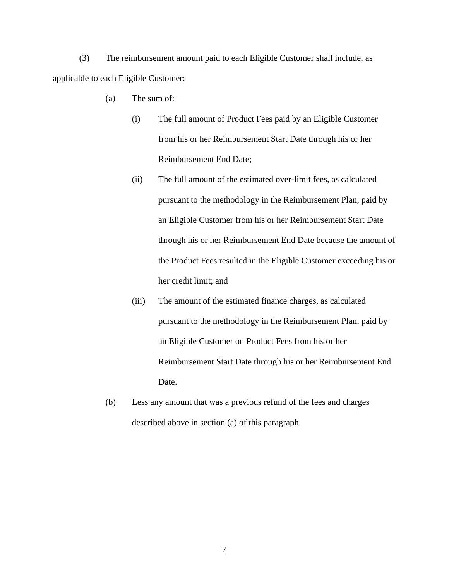(3) The reimbursement amount paid to each Eligible Customer shall include, as applicable to each Eligible Customer:

- (a) The sum of:
	- (i) The full amount of Product Fees paid by an Eligible Customer from his or her Reimbursement Start Date through his or her Reimbursement End Date;
	- (ii) The full amount of the estimated over-limit fees, as calculated pursuant to the methodology in the Reimbursement Plan, paid by an Eligible Customer from his or her Reimbursement Start Date through his or her Reimbursement End Date because the amount of the Product Fees resulted in the Eligible Customer exceeding his or her credit limit; and
	- (iii) The amount of the estimated finance charges, as calculated pursuant to the methodology in the Reimbursement Plan, paid by an Eligible Customer on Product Fees from his or her Reimbursement Start Date through his or her Reimbursement End Date.
- (b) Less any amount that was a previous refund of the fees and charges described above in section (a) of this paragraph.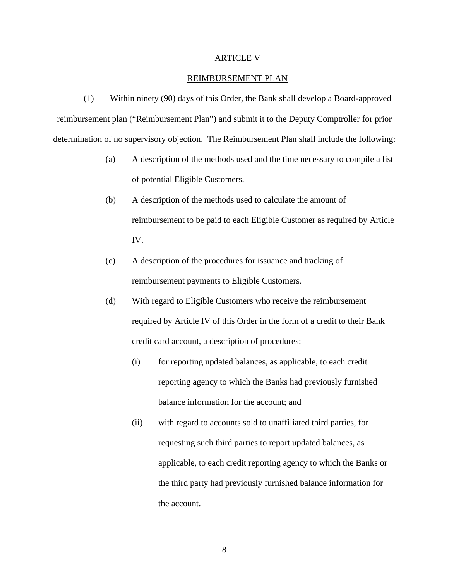### ARTICLE V

### REIMBURSEMENT PLAN

(1) Within ninety (90) days of this Order, the Bank shall develop a Board-approved reimbursement plan ("Reimbursement Plan") and submit it to the Deputy Comptroller for prior determination of no supervisory objection. The Reimbursement Plan shall include the following:

- (a) A description of the methods used and the time necessary to compile a list of potential Eligible Customers.
- (b) A description of the methods used to calculate the amount of reimbursement to be paid to each Eligible Customer as required by Article IV.
- (c) A description of the procedures for issuance and tracking of reimbursement payments to Eligible Customers.
- (d) With regard to Eligible Customers who receive the reimbursement required by Article IV of this Order in the form of a credit to their Bank credit card account, a description of procedures:
	- (i) for reporting updated balances, as applicable, to each credit reporting agency to which the Banks had previously furnished balance information for the account; and
	- (ii) with regard to accounts sold to unaffiliated third parties, for requesting such third parties to report updated balances, as applicable, to each credit reporting agency to which the Banks or the third party had previously furnished balance information for the account.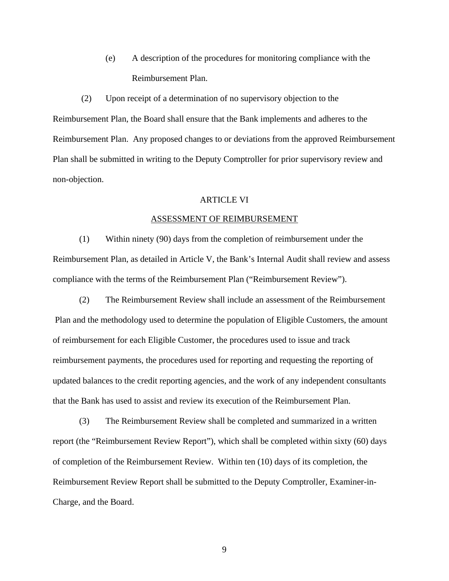(e) A description of the procedures for monitoring compliance with the Reimbursement Plan.

(2) Upon receipt of a determination of no supervisory objection to the Reimbursement Plan, the Board shall ensure that the Bank implements and adheres to the Reimbursement Plan. Any proposed changes to or deviations from the approved Reimbursement Plan shall be submitted in writing to the Deputy Comptroller for prior supervisory review and non-objection.

### **ARTICLE VI**

#### ASSESSMENT OF REIMBURSEMENT

(1) Within ninety (90) days from the completion of reimbursement under the Reimbursement Plan, as detailed in Article V, the Bank's Internal Audit shall review and assess compliance with the terms of the Reimbursement Plan ("Reimbursement Review").

(2) The Reimbursement Review shall include an assessment of the Reimbursement Plan and the methodology used to determine the population of Eligible Customers, the amount of reimbursement for each Eligible Customer, the procedures used to issue and track reimbursement payments, the procedures used for reporting and requesting the reporting of updated balances to the credit reporting agencies, and the work of any independent consultants that the Bank has used to assist and review its execution of the Reimbursement Plan.

(3) The Reimbursement Review shall be completed and summarized in a written report (the "Reimbursement Review Report"), which shall be completed within sixty (60) days of completion of the Reimbursement Review. Within ten (10) days of its completion, the Reimbursement Review Report shall be submitted to the Deputy Comptroller, Examiner-in-Charge, and the Board.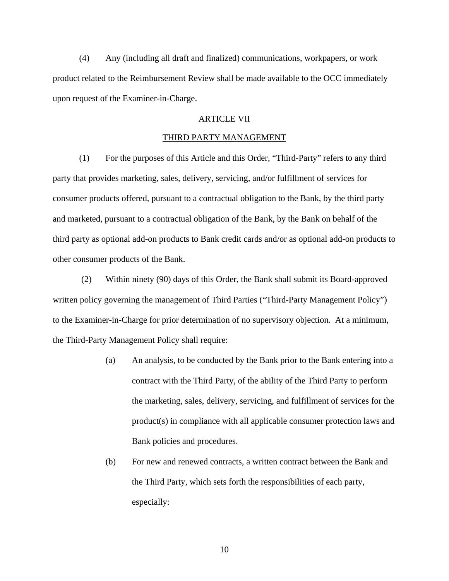(4) Any (including all draft and finalized) communications, workpapers, or work product related to the Reimbursement Review shall be made available to the OCC immediately upon request of the Examiner-in-Charge.

# ARTICLE VII

## THIRD PARTY MANAGEMENT

(1) For the purposes of this Article and this Order, "Third-Party" refers to any third party that provides marketing, sales, delivery, servicing, and/or fulfillment of services for consumer products offered, pursuant to a contractual obligation to the Bank, by the third party and marketed, pursuant to a contractual obligation of the Bank, by the Bank on behalf of the third party as optional add-on products to Bank credit cards and/or as optional add-on products to other consumer products of the Bank.

(2) Within ninety (90) days of this Order, the Bank shall submit its Board-approved written policy governing the management of Third Parties ("Third-Party Management Policy") to the Examiner-in-Charge for prior determination of no supervisory objection. At a minimum, the Third-Party Management Policy shall require:

- (a) An analysis, to be conducted by the Bank prior to the Bank entering into a contract with the Third Party, of the ability of the Third Party to perform the marketing, sales, delivery, servicing, and fulfillment of services for the product(s) in compliance with all applicable consumer protection laws and Bank policies and procedures.
- (b) For new and renewed contracts, a written contract between the Bank and the Third Party, which sets forth the responsibilities of each party, especially: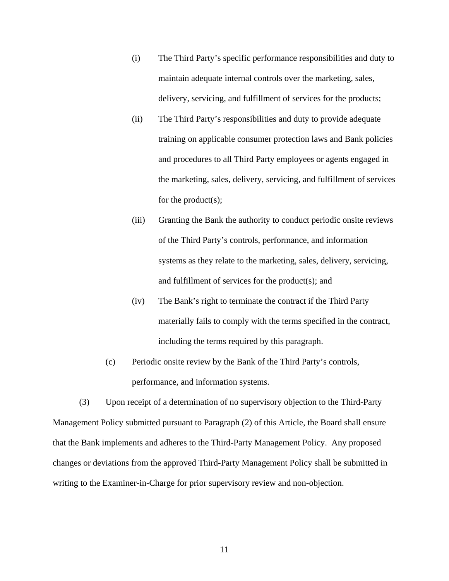- (i) The Third Party's specific performance responsibilities and duty to maintain adequate internal controls over the marketing, sales, delivery, servicing, and fulfillment of services for the products;
- (ii) The Third Party's responsibilities and duty to provide adequate training on applicable consumer protection laws and Bank policies and procedures to all Third Party employees or agents engaged in the marketing, sales, delivery, servicing, and fulfillment of services for the product(s);
- (iii) Granting the Bank the authority to conduct periodic onsite reviews of the Third Party's controls, performance, and information systems as they relate to the marketing, sales, delivery, servicing, and fulfillment of services for the product(s); and
- (iv) The Bank's right to terminate the contract if the Third Party materially fails to comply with the terms specified in the contract, including the terms required by this paragraph.
- (c) Periodic onsite review by the Bank of the Third Party's controls, performance, and information systems.

(3) Upon receipt of a determination of no supervisory objection to the Third-Party Management Policy submitted pursuant to Paragraph (2) of this Article, the Board shall ensure that the Bank implements and adheres to the Third-Party Management Policy. Any proposed changes or deviations from the approved Third-Party Management Policy shall be submitted in writing to the Examiner-in-Charge for prior supervisory review and non-objection.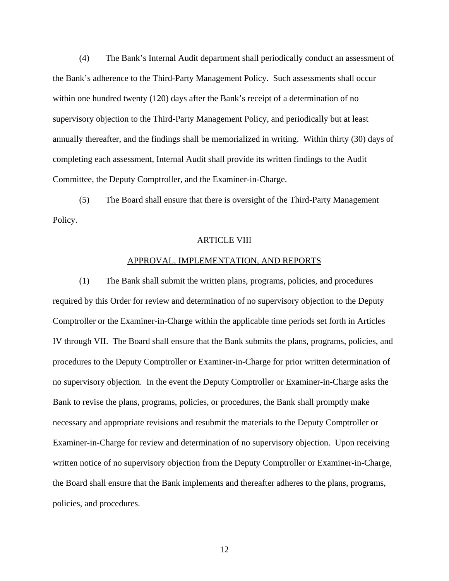(4) The Bank's Internal Audit department shall periodically conduct an assessment of the Bank's adherence to the Third-Party Management Policy. Such assessments shall occur within one hundred twenty (120) days after the Bank's receipt of a determination of no supervisory objection to the Third-Party Management Policy, and periodically but at least annually thereafter, and the findings shall be memorialized in writing. Within thirty (30) days of completing each assessment, Internal Audit shall provide its written findings to the Audit Committee, the Deputy Comptroller, and the Examiner-in-Charge.

(5) The Board shall ensure that there is oversight of the Third-Party Management Policy.

#### ARTICLE VIII

### APPROVAL, IMPLEMENTATION, AND REPORTS

(1) The Bank shall submit the written plans, programs, policies, and procedures required by this Order for review and determination of no supervisory objection to the Deputy Comptroller or the Examiner-in-Charge within the applicable time periods set forth in Articles IV through VII. The Board shall ensure that the Bank submits the plans, programs, policies, and procedures to the Deputy Comptroller or Examiner-in-Charge for prior written determination of no supervisory objection. In the event the Deputy Comptroller or Examiner-in-Charge asks the Bank to revise the plans, programs, policies, or procedures, the Bank shall promptly make necessary and appropriate revisions and resubmit the materials to the Deputy Comptroller or Examiner-in-Charge for review and determination of no supervisory objection. Upon receiving written notice of no supervisory objection from the Deputy Comptroller or Examiner-in-Charge, the Board shall ensure that the Bank implements and thereafter adheres to the plans, programs, policies, and procedures.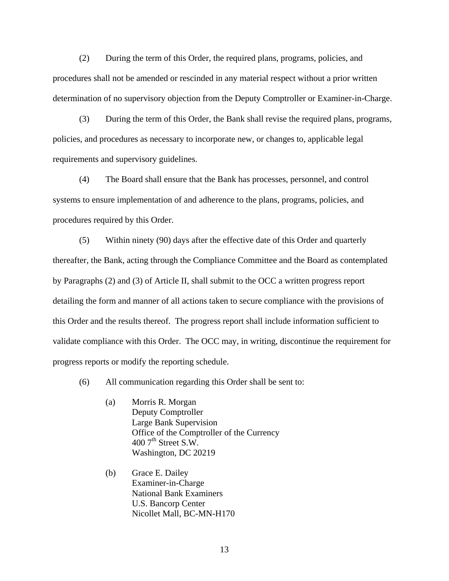(2) During the term of this Order, the required plans, programs, policies, and procedures shall not be amended or rescinded in any material respect without a prior written determination of no supervisory objection from the Deputy Comptroller or Examiner-in-Charge.

(3) During the term of this Order, the Bank shall revise the required plans, programs, policies, and procedures as necessary to incorporate new, or changes to, applicable legal requirements and supervisory guidelines.

(4) The Board shall ensure that the Bank has processes, personnel, and control systems to ensure implementation of and adherence to the plans, programs, policies, and procedures required by this Order.

(5) Within ninety (90) days after the effective date of this Order and quarterly thereafter, the Bank, acting through the Compliance Committee and the Board as contemplated by Paragraphs (2) and (3) of Article II, shall submit to the OCC a written progress report detailing the form and manner of all actions taken to secure compliance with the provisions of this Order and the results thereof. The progress report shall include information sufficient to validate compliance with this Order. The OCC may, in writing, discontinue the requirement for progress reports or modify the reporting schedule.

(6) All communication regarding this Order shall be sent to:

- (a) Morris R. Morgan Deputy Comptroller Large Bank Supervision Office of the Comptroller of the Currency  $400$  7<sup>th</sup> Street S.W. Washington, DC 20219
- (b) Grace E. Dailey Examiner-in-Charge National Bank Examiners U.S. Bancorp Center Nicollet Mall, BC-MN-H170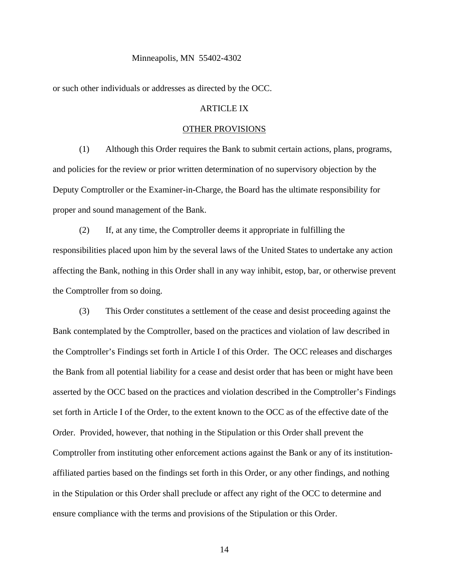#### Minneapolis, MN 55402-4302

or such other individuals or addresses as directed by the OCC.

# ARTICLE IX

# OTHER PROVISIONS

(1) Although this Order requires the Bank to submit certain actions, plans, programs, and policies for the review or prior written determination of no supervisory objection by the Deputy Comptroller or the Examiner-in-Charge, the Board has the ultimate responsibility for proper and sound management of the Bank.

(2) If, at any time, the Comptroller deems it appropriate in fulfilling the responsibilities placed upon him by the several laws of the United States to undertake any action affecting the Bank, nothing in this Order shall in any way inhibit, estop, bar, or otherwise prevent the Comptroller from so doing.

(3) This Order constitutes a settlement of the cease and desist proceeding against the Bank contemplated by the Comptroller, based on the practices and violation of law described in the Comptroller's Findings set forth in Article I of this Order. The OCC releases and discharges the Bank from all potential liability for a cease and desist order that has been or might have been asserted by the OCC based on the practices and violation described in the Comptroller's Findings set forth in Article I of the Order, to the extent known to the OCC as of the effective date of the Order. Provided, however, that nothing in the Stipulation or this Order shall prevent the Comptroller from instituting other enforcement actions against the Bank or any of its institutionaffiliated parties based on the findings set forth in this Order, or any other findings, and nothing in the Stipulation or this Order shall preclude or affect any right of the OCC to determine and ensure compliance with the terms and provisions of the Stipulation or this Order.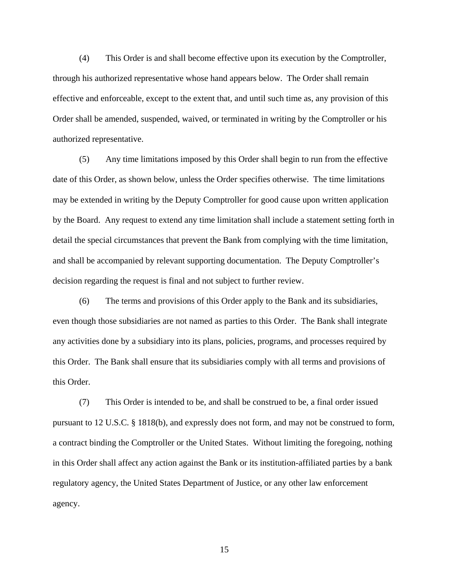(4) This Order is and shall become effective upon its execution by the Comptroller, through his authorized representative whose hand appears below. The Order shall remain effective and enforceable, except to the extent that, and until such time as, any provision of this Order shall be amended, suspended, waived, or terminated in writing by the Comptroller or his authorized representative.

(5) Any time limitations imposed by this Order shall begin to run from the effective date of this Order, as shown below, unless the Order specifies otherwise. The time limitations may be extended in writing by the Deputy Comptroller for good cause upon written application by the Board. Any request to extend any time limitation shall include a statement setting forth in detail the special circumstances that prevent the Bank from complying with the time limitation, and shall be accompanied by relevant supporting documentation. The Deputy Comptroller's decision regarding the request is final and not subject to further review.

(6) The terms and provisions of this Order apply to the Bank and its subsidiaries, even though those subsidiaries are not named as parties to this Order. The Bank shall integrate any activities done by a subsidiary into its plans, policies, programs, and processes required by this Order. The Bank shall ensure that its subsidiaries comply with all terms and provisions of this Order.

(7) This Order is intended to be, and shall be construed to be, a final order issued pursuant to 12 U.S.C. § 1818(b), and expressly does not form, and may not be construed to form, a contract binding the Comptroller or the United States. Without limiting the foregoing, nothing in this Order shall affect any action against the Bank or its institution-affiliated parties by a bank regulatory agency, the United States Department of Justice, or any other law enforcement agency.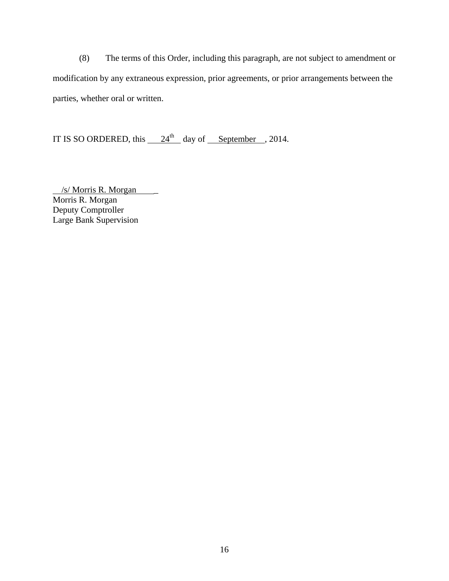(8) The terms of this Order, including this paragraph, are not subject to amendment or modification by any extraneous expression, prior agreements, or prior arrangements between the parties, whether oral or written.

IT IS SO ORDERED, this  $24<sup>th</sup>$  day of September , 2014.

 /s/ Morris R. Morgan \_ Morris R. Morgan Deputy Comptroller Large Bank Supervision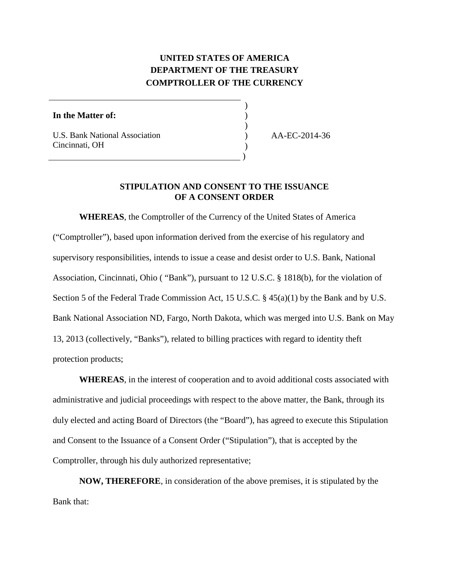# **UNITED STATES OF AMERICA DEPARTMENT OF THE TREASURY COMPTROLLER OF THE CURRENCY**

)

)

) )

)

### **In the Matter of:** )

 $\overline{a}$ 

U.S. Bank National Association Cincinnati, OH

AA-EC-2014-36

# **STIPULATION AND CONSENT TO THE ISSUANCE OF A CONSENT ORDER**

**WHEREAS**, the Comptroller of the Currency of the United States of America ("Comptroller"), based upon information derived from the exercise of his regulatory and supervisory responsibilities, intends to issue a cease and desist order to U.S. Bank, National Association, Cincinnati, Ohio ( "Bank"), pursuant to 12 U.S.C. § 1818(b), for the violation of Section 5 of the Federal Trade Commission Act, 15 U.S.C. § 45(a)(1) by the Bank and by U.S. Bank National Association ND, Fargo, North Dakota, which was merged into U.S. Bank on May 13, 2013 (collectively, "Banks"), related to billing practices with regard to identity theft protection products;

**WHEREAS**, in the interest of cooperation and to avoid additional costs associated with administrative and judicial proceedings with respect to the above matter, the Bank, through its duly elected and acting Board of Directors (the "Board"), has agreed to execute this Stipulation and Consent to the Issuance of a Consent Order ("Stipulation"), that is accepted by the Comptroller, through his duly authorized representative;

 **NOW, THEREFORE**, in consideration of the above premises, it is stipulated by the Bank that: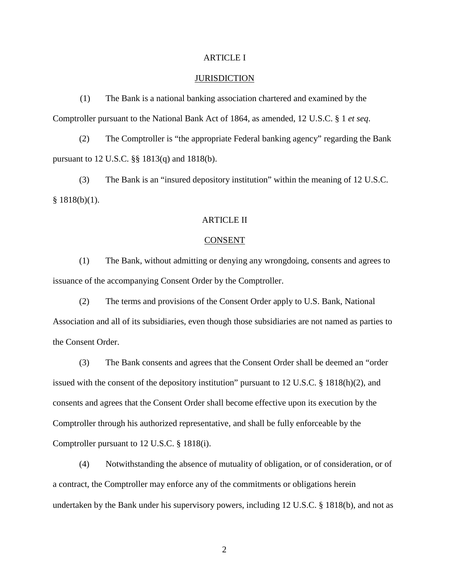# ARTICLE I

### **JURISDICTION**

(1) The Bank is a national banking association chartered and examined by the Comptroller pursuant to the National Bank Act of 1864, as amended, 12 U.S.C. § 1 *et seq*.

(2) The Comptroller is "the appropriate Federal banking agency" regarding the Bank pursuant to 12 U.S.C. §§ 1813(q) and 1818(b).

(3) The Bank is an "insured depository institution" within the meaning of 12 U.S.C.  $§ 1818(b)(1).$ 

# ARTICLE II

#### **CONSENT**

(1) The Bank, without admitting or denying any wrongdoing, consents and agrees to issuance of the accompanying Consent Order by the Comptroller.

(2) The terms and provisions of the Consent Order apply to U.S. Bank, National Association and all of its subsidiaries, even though those subsidiaries are not named as parties to the Consent Order.

(3) The Bank consents and agrees that the Consent Order shall be deemed an "order issued with the consent of the depository institution" pursuant to 12 U.S.C. § 1818(h)(2), and consents and agrees that the Consent Order shall become effective upon its execution by the Comptroller through his authorized representative, and shall be fully enforceable by the Comptroller pursuant to 12 U.S.C. § 1818(i).

(4) Notwithstanding the absence of mutuality of obligation, or of consideration, or of a contract, the Comptroller may enforce any of the commitments or obligations herein undertaken by the Bank under his supervisory powers, including 12 U.S.C. § 1818(b), and not as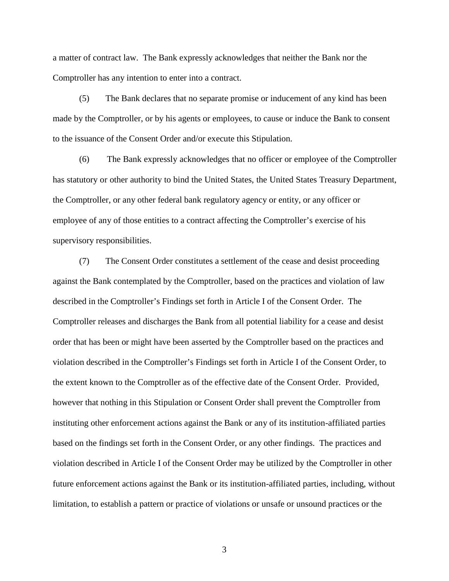a matter of contract law. The Bank expressly acknowledges that neither the Bank nor the Comptroller has any intention to enter into a contract.

(5) The Bank declares that no separate promise or inducement of any kind has been made by the Comptroller, or by his agents or employees, to cause or induce the Bank to consent to the issuance of the Consent Order and/or execute this Stipulation.

 the Comptroller, or any other federal bank regulatory agency or entity, or any officer or employee of any of those entities to a contract affecting the Comptroller's exercise of his (6) The Bank expressly acknowledges that no officer or employee of the Comptroller has statutory or other authority to bind the United States, the United States Treasury Department, supervisory responsibilities.

(7) The Consent Order constitutes a settlement of the cease and desist proceeding against the Bank contemplated by the Comptroller, based on the practices and violation of law described in the Comptroller's Findings set forth in Article I of the Consent Order. The Comptroller releases and discharges the Bank from all potential liability for a cease and desist order that has been or might have been asserted by the Comptroller based on the practices and violation described in the Comptroller's Findings set forth in Article I of the Consent Order, to the extent known to the Comptroller as of the effective date of the Consent Order. Provided, however that nothing in this Stipulation or Consent Order shall prevent the Comptroller from instituting other enforcement actions against the Bank or any of its institution-affiliated parties based on the findings set forth in the Consent Order, or any other findings. The practices and violation described in Article I of the Consent Order may be utilized by the Comptroller in other future enforcement actions against the Bank or its institution-affiliated parties, including, without limitation, to establish a pattern or practice of violations or unsafe or unsound practices or the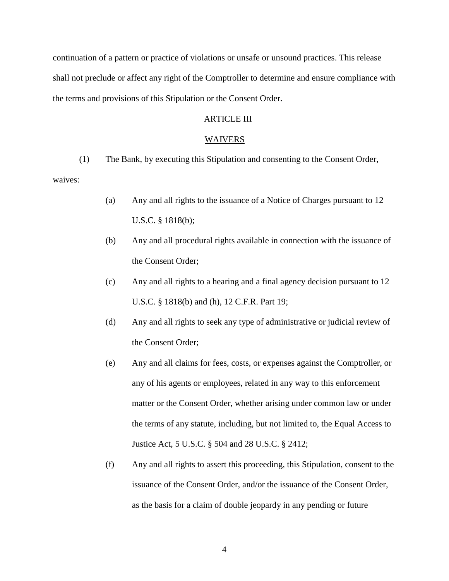continuation of a pattern or practice of violations or unsafe or unsound practices. This release shall not preclude or affect any right of the Comptroller to determine and ensure compliance with the terms and provisions of this Stipulation or the Consent Order.

# ARTICLE III

### WAIVERS

(1) The Bank, by executing this Stipulation and consenting to the Consent Order,

waives:

- (a) Any and all rights to the issuance of a Notice of Charges pursuant to 12 U.S.C. § 1818(b);
- (b) Any and all procedural rights available in connection with the issuance of the Consent Order;
- (c) Any and all rights to a hearing and a final agency decision pursuant to 12 U.S.C. § 1818(b) and (h), 12 C.F.R. Part 19;
- (d) Any and all rights to seek any type of administrative or judicial review of the Consent Order;
- (e) Any and all claims for fees, costs, or expenses against the Comptroller, or any of his agents or employees, related in any way to this enforcement matter or the Consent Order, whether arising under common law or under the terms of any statute, including, but not limited to, the Equal Access to Justice Act, 5 U.S.C. § 504 and 28 U.S.C. § 2412;
- (f) Any and all rights to assert this proceeding, this Stipulation, consent to the issuance of the Consent Order, and/or the issuance of the Consent Order, as the basis for a claim of double jeopardy in any pending or future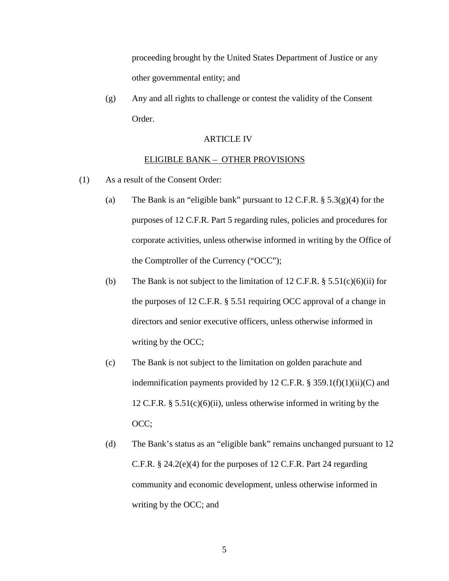proceeding brought by the United States Department of Justice or any other governmental entity; and

(g) Any and all rights to challenge or contest the validity of the Consent Order.

# ARTICLE IV

### ELIGIBLE BANK – OTHER PROVISIONS

- (1) As a result of the Consent Order:
	- (a) The Bank is an "eligible bank" pursuant to  $12 \text{ C.F.R.}$  §  $5.3(g)(4)$  for the purposes of 12 C.F.R. Part 5 regarding rules, policies and procedures for corporate activities, unless otherwise informed in writing by the Office of the Comptroller of the Currency ("OCC");
	- writing by the OCC; (b) The Bank is not subject to the limitation of 12 C.F.R.  $\S$  5.51(c)(6)(ii) for the purposes of 12 C.F.R. § 5.51 requiring OCC approval of a change in directors and senior executive officers, unless otherwise informed in
	- (c) The Bank is not subject to the limitation on golden parachute and indemnification payments provided by 12 C.F.R.  $\S$  359.1(f)(1)(ii)(C) and 12 C.F.R.  $\S$  5.51(c)(6)(ii), unless otherwise informed in writing by the OCC;
	- (d) The Bank's status as an "eligible bank" remains unchanged pursuant to 12 C.F.R. § 24.2(e)(4) for the purposes of 12 C.F.R. Part 24 regarding community and economic development, unless otherwise informed in writing by the OCC; and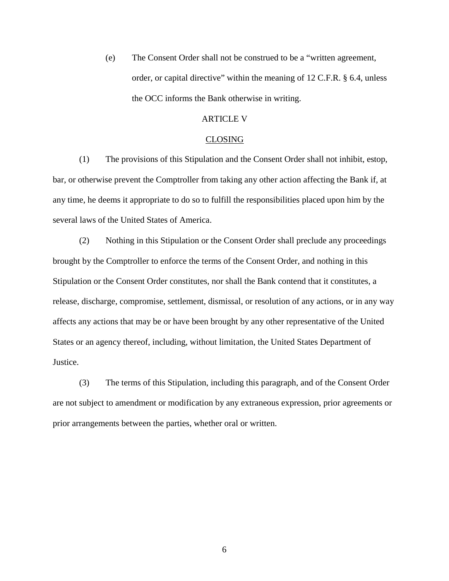(e) The Consent Order shall not be construed to be a "written agreement, order, or capital directive" within the meaning of 12 C.F.R. § 6.4, unless the OCC informs the Bank otherwise in writing.

### ARTICLE V

### CLOSING

(1) The provisions of this Stipulation and the Consent Order shall not inhibit, estop, bar, or otherwise prevent the Comptroller from taking any other action affecting the Bank if, at any time, he deems it appropriate to do so to fulfill the responsibilities placed upon him by the several laws of the United States of America.

(2) Nothing in this Stipulation or the Consent Order shall preclude any proceedings brought by the Comptroller to enforce the terms of the Consent Order, and nothing in this Stipulation or the Consent Order constitutes, nor shall the Bank contend that it constitutes, a release, discharge, compromise, settlement, dismissal, or resolution of any actions, or in any way affects any actions that may be or have been brought by any other representative of the United States or an agency thereof, including, without limitation, the United States Department of Justice.

(3) The terms of this Stipulation, including this paragraph, and of the Consent Order are not subject to amendment or modification by any extraneous expression, prior agreements or prior arrangements between the parties, whether oral or written.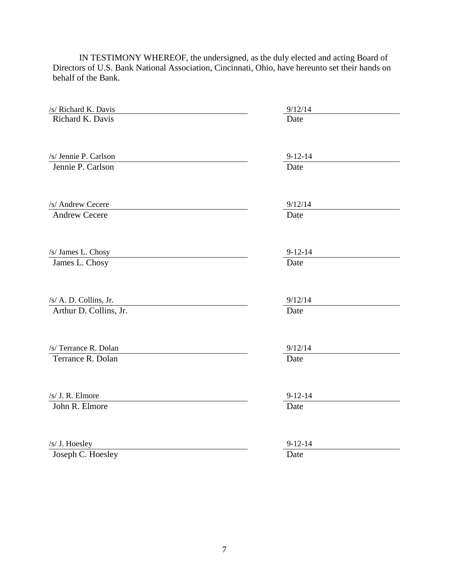| /s/ Richard K. Davis   | 9/12/14               |
|------------------------|-----------------------|
| Richard K. Davis       | Date                  |
|                        |                       |
|                        |                       |
| /s/ Jennie P. Carlson  | $9 - 12 - 14$         |
| Jennie P. Carlson      | Date                  |
|                        |                       |
|                        |                       |
| /s/ Andrew Cecere      | 9/12/14               |
| <b>Andrew Cecere</b>   | Date                  |
|                        |                       |
|                        |                       |
| /s/ James L. Chosy     | $9 - 12 - 14$<br>Date |
| James L. Chosy         |                       |
|                        |                       |
| /s/ A. D. Collins, Jr. | 9/12/14               |
| Arthur D. Collins, Jr. | Date                  |
|                        |                       |
|                        |                       |
| /s/ Terrance R. Dolan  | 9/12/14               |
| Terrance R. Dolan      | Date                  |
|                        |                       |
|                        |                       |
| /s/ J. R. Elmore       | $9 - 12 - 14$         |
| John R. Elmore         | Date                  |
|                        |                       |
|                        |                       |
| /s/ J. Hoesley         | $9 - 12 - 14$         |
| Joseph C. Hoesley      | Date                  |

IN TESTIMONY WHEREOF, the undersigned, as the duly elected and acting Board of Directors of U.S. Bank National Association, Cincinnati, Ohio, have hereunto set their hands on behalf of the Bank.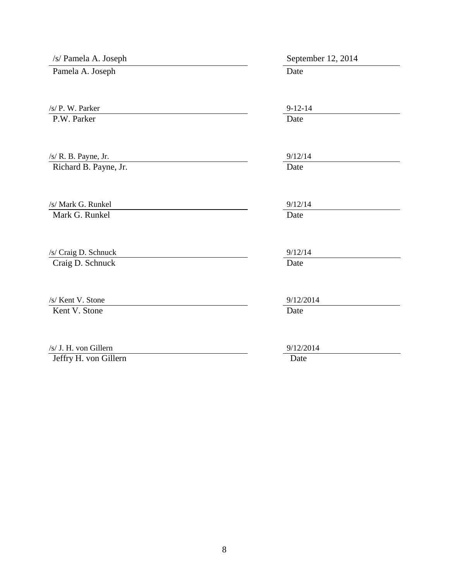| /s/ Pamela A. Joseph  | September 12, 2014 |
|-----------------------|--------------------|
| Pamela A. Joseph      | Date               |
| /s/ P. W. Parker      | $9 - 12 - 14$      |
| P.W. Parker           | Date               |
| /s/ R. B. Payne, Jr.  | 9/12/14            |
| Richard B. Payne, Jr. | Date               |
| /s/ Mark G. Runkel    | 9/12/14            |
| Mark G. Runkel        | Date               |
| /s/ Craig D. Schnuck  | 9/12/14            |
| Craig D. Schnuck      | Date               |
| /s/ Kent V. Stone     | 9/12/2014          |
| Kent V. Stone         | Date               |
| /s/ J. H. von Gillern | 9/12/2014          |
| Jeffry H. von Gillern | Date               |